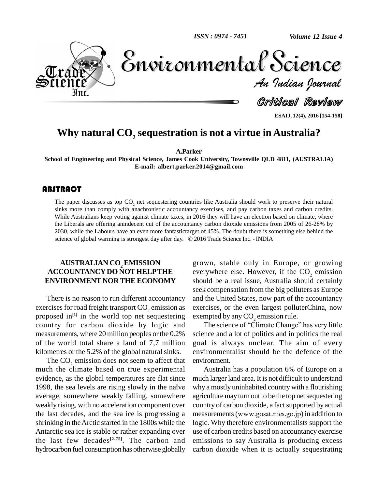*ISSN : 0974 - 7451*

*Volume 12 Issue 4*



*Indian Journal*

Critical Review

**ESAIJ, 12(4), 2016 [154-158]**

## **Why natural CO<sup>2</sup> sequestration is not a virtue in Australia?**

**A.Parker**

**School of Engineering and Physical Science, James Cook University, Townsville QLD 4811, (AUSTRALIA) E-mail: [albert.parker.2014@gmail.com](mailto:albert.parker.2014@gmail.com)**

#### **ABSTRACT**

The paper discusses as<br>sinks more than comply<br>While Australians keep The paper discusses as top  $CO_2$  net sequestering countries like Australia should work to preserve their natural sinks more than comply with anachronistic accountancy exercises, and pay carbon taxes and carbon credits. While Australians keep voting against climate taxes, in 2016 they will have an election based on climate, where the Liberals are offering anindecent cut of the accountancy carbon dioxide emissions from 2005 of 26-28% by 2030, while the Labours have an even more fantastictarget of 45%. The doubt there is something else behind the sci 2030, while the Labours have an even more fantastictarget of 45%. The doubt there is something else behind the

### **AUSTRALIAN CO<sup>2</sup> EMISSION ACCOUNTANCYDO NOT HELPTHE ENVIRONMENT NOR THE ECONOMY**

There is no reason to run different accountancy exercises for road freight transport  $CO_2$  emission as exercises, or the even largest pollus proposed in<sup>[1]</sup> in the world top net sequestering exempted by any  $CO_2$  emission rule. proposed in<sup>[1]</sup> in the world top net sequestering exemp country for carbon dioxide by logic and The science of "Climate Change" has very little measurements, where 20 million peoples or the 0.2% of the world total share a land of 7,7 million kilometres or the 5.2% of the global natural sinks.

The CO<sub>2</sub> emission does not seem to affect that much the climate based on true experimental A<br>evidence, as the global temperatures are flat since much<br>1998, the sea levels are rising slowly in the naïve why a evidence, as the global temperatures are flat since average, somewhere weakly falling, somewhere weakly rising, with no acceleration component over the last decades, and the sea ice is progressing a shrinking in theArctic started in the 1800s while the Antarctic sea ice is stable or rather expanding over the last few decades **[2-75]**. The carbon and hydrocarbon fuel consumption has otherwise globally

grown, stable only in Europe, or growing everywhere else. However, if the CO<sub>2</sub> emission should be a real issue, Australia should certainly seek compensation from the big polluters as Europe and the United States, now part of the accountancy exercises, or the even largest polluterChina, now<br>exempted by any  $CO_2$  emission rule.<br>The science of "Climate Change" has very little

science and a lot of politics and in politics the real goal is always unclear. The aim of every environmentalist should be the defence of the environment.

Australia has a population 6% of Europe on a much larger land area. It is not difficult to understand why a mostly uninhabited country with a flourishing agriculture may turn out to be the top net sequestering country of carbon dioxide, a fact supported by actual measurements(www.gosat.nies.go.jp) in addition to logic. Why therefore environmentalists support the use of carbon credits based on accountancy exercise emissions to say Australia is producing excess carbon dioxide when it is actually sequestrating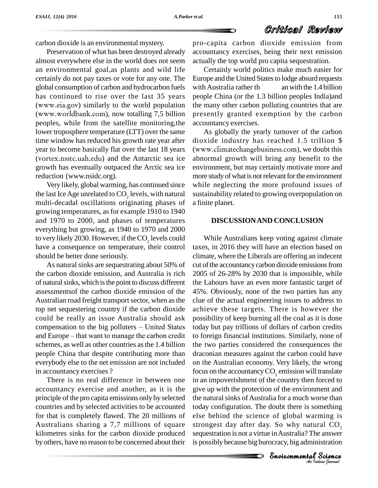## Critical Review

carbon dioxide is an environmental mystery.

Preservation of what has been destroyed already almost everywhere else in the world does not seem an environmental goal,as plants and wild life certainly do not pay taxes or vote for any one. The global consumption of carbon and hydrocarbon fuels has continued to rise over the last 35 years (www.eia.gov) similarly to the world population (www.worldbank.com), now totalling 7,5 billion peoples, while from the satellite monitoring,the lower troposphere temperature (LTT) over the same time window has reduced his growth rate year after year to become basically flat over the last 18 years (vortex.nsstc.uah.edu) and the Antarctic sea ice growth has eventually outpaced the Arctic sea ice reduction (www.nsidc.org).

Very likely, global warming, has continued since the last Ice Age unrelated to  $\mathrm{CO}_2$  levels, with natural sus multi-decadal oscillations originating phases of growing temperatures, asfor example 1910 to 1940 and 1970 to 2000, and phases of temperatures everything but growing, as 1940 to 1970 and 2000 to very likely 2030. However, if the  $\text{CO}_2$  levels could Wl have a consequence on temperature, their control should be better done seriously.

As natural sinks are sequestrating about 50% of the carbon dioxide emission, and Australia is rich of natural sinks, which is the point to discuss different assessments of the carbon dioxide emission of the Australian road freight transport sector, when as the top net sequestering country if the carbon dioxide could be really an issue Australia should ask top net sequestering country if the carbon dioxide achic could be really an issue Australia should ask poss compensation to the big polluters – United States toda could be really an issue Australia should ask po<br>compensation to the big polluters – United States too<br>and Europe – that want to manage the carbon credit to schemes, as well as other countries as the 1.4 billion people China that despite contributing more than everybody else to the net emission are not included in accountancy exercises ?

There is no real difference in between one accountancy exercise and another, as it is the principle of the pro capita emissions only by selected countries and by selected activities to be accounted for that is completely flawed. The 20 millions of Australians sharing a 7,7 millions of square kilometres sinks for the carbon dioxide produced by others, have no reason to be concerned about their pro-capita carbon dioxide emission from accountancy exercises, being their next emission actually the top world pro capita sequestration.

Certainly world politics make much easier for Europe and the United States to lodge absurd requests with Australia rather th an with the 1.4 billion people China (or the 1.3 billion peoples India)and the many other carbon polluting countries that are presently granted exemption by the carbon accountancy exercises.

As globally the yearly turnover of the carbon dioxide industry has reached 1.5 trillion \$ (www.climatechangebusiness.com), we doubt this abnormal growth will bring any benefit to the environment, but may certainly motivate more and more study of what is not relevant for the environment while neglecting the more profound issues of sustainability related to growing overpopulation on a finite planet.

#### **DISCUSSIONAND CONCLUSION**

today configuration. The doubt there is something *Iming* is<br> *Indian*<br> *Indian*<br> *I Science*<br> *Indian*<br> *Indian* mething<br>ming is<br>ral CO<sub>2</sub><br>e answer<br>istration<br>Science While Australians keep voting against climate taxes, in 2016 they will have an election based on climate, where the Liberals are offering an indecent cut of the accountancy carbon dioxide emissions from 2005 of 26-28% by 2030 that is impossible, while the Labours have an even more fantastic target of 45%. Obviously, none of the two parties has any clue of the actual engineering issues to address to achieve these targets. There is however the possibility of keep burning all the coal as it is done today but pay trillions of dollars of carbon credits to foreign financial institutions. Similarly, none of the two parties considered the consequences the draconian measures against the carbon could have on the Australian economy. Very likely, the wrong focus on the accountancy  $CO$ , emission will translate in an impoverishment of the country then forced to give up with the protection of the environment and the natural sinks of Australia for a much worse than else behind the science of global warming is strongest day after day. So why natural  $CO<sub>2</sub>$ sequestration isnot a virtue inAustralia? The answer is possibly because big burocracy, big administration

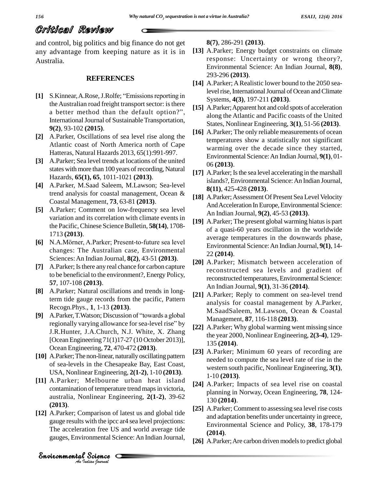## Critical Review

and control, big politics and big finance do not get any advantage from keeping nature as it is in Australia.

#### **REFERENCES**

- **[1]** S.Kinnear, A.Rose, J.Rolfe; "Emissions reporting in the Australian road freight transport sector: is there a better method than the default option?", International Journal of Sustainable Transportation, **9(2)**, 93-102 **(2015)**.
- **[2]** A.Parker, Oscillations of sea level rise along the Atlantic coast of North America north of Cape Hatteras, Natural Hazards 2013, 65(1):991-997.
- **[3]** A.Parker; Sea level trends at locations of the united states with more than 100 years of recording, Natural Hazards, **65(1), 65**, 1011-1021 **(2013)**.
- **[4]** A.Parker, M.Saad Saleem, M.Lawson; Sea-level trend analysis for coastal management, Ocean & Coastal Management, **73**, 63-81 **(2013)**.
- **[5]** A.Parker; Comment on low-frequency sea level variation and its correlation with climate events in the Pacific, Chinese Science Bulletin, **58(14)**, 1708-1713 **(2013)**.
- **[6]** N.A.Mˆrner, A.Parker; Present-to-future sea level changes: The Australian case, Environmental Sciences:An Indian Journal, **8(2)**, 43-51 **(2013)**.
- [7] A.Parker; Is there any real chance for carbon capture to be beneficial to the environment?, Energy Policy, **57**, 107-108 **(2013)**.
- **[8]** A.Parker; Natural oscillations and trends in longterm tide gauge records from the pacific, Pattern Recogn.Phys., **1**, 1-13 **(2013)**. **EVALUATE:**<br> **EVALUATE:**<br> **EVALUATE:**<br> **EVALUATE:**<br> **EVALUATE:**<br> **EVALUATE:**<br> **EVALUATE:**<br> **EVALUATE:**<br> **EVALUATE:**<br> **EVALUATE:**<br> **EVALUATE:**<br> **EVALUATE:**<br> **EVALUATE:**<br> **EVALUATE:**<br> **EVALUATE:**
- Recogn.Phys., 1, 1-13 (2013).<br>A.Parker, T.Watson; Discussion of "towards a global hegionally varying allowance for sea-level rise" by J.R.Hunter, J.A.Church, N.J. White, X. Zhang [Ocean Engineering 71(1)17-27 (10 October 2013)], Ocean Engineering, **72**, 470-472 **(2013)**.
- [10] A.Parker; The non-linear, naturally oscillating pattern of sea-levels in the Chesapeake Bay, East Coast, USA, Nonlinear Engineering, **2(1-2)**, 1-10 **(2013)**.
- $(2013)$ . **[11]** A.Parker; Melbourne urban heat island contamination of temperature trend maps in victoria, australia, Nonlinear Engineering, **2(1-2)**, 39-62
- **Comparison of late**<br> **Analytical Science CIS**<br> **Analytical Science CIS**<br> **Analytique CIS**<br> **Analytique CISC [12]** A.Parker; Comparison of latest us and global tide gauge results with the ipcc ar4 sea level projections: The acceleration free US and world average tide gauges, Environmental Science:An Indian Journal,

**8(7)**, 286-291 **(2013)**.

- **[13]** A.Parker; Energy budget constraints on climate response: Uncertainty or wrong theory?, Environmental Science: An Indian Journal, **8(8)**, 293-296 **(2013)**.
- [14] A.Parker; A Realistic lower bound to the 2050 sealevel rise, International Journal of Ocean and Climate Systems, **4(3)**, 197-211 **(2013)**.
- **[15]** A.Parker;Apparent hot and cold spots of acceleration along the Atlantic and Pacific coasts of the United States, Nonlinear Engineering, **3(1)**, 51-56 **(2013)**.
- **[16]** A.Parker; The only reliable measurements of ocean temperatures show a statistically not significant warming over the decade since they started, Environmental Science:An Indian Journal, **9(1)**, 01- 06 **(2013)**.
- [17] A.Parker; Is the sea level accelerating in the marshall islands?, Environmental Science:An Indian Journal, **8(11)**, 425-428 **(2013)**.
- [18] A.Parker; Assessment Of Present Sea Level Velocity And Acceleration In Europe, Environmental Science: An Indian Journal, **9(2)**, 45-53 **(2013)**.
- [19] A.Parker; The present global warming hiatus is part of a quasi-60 years oscillation in the worldwide average temperatures in the downwards phase, Environmental Science:An Indian Journal, **9(1)**, 14- 22 **(2014)**.
- **[20]** A.Parker; Mismatch between acceleration of reconstructed sea levels and gradient of reconstructed temperatures, Environmental Science: An Indian Journal, **9(1)**, 31-36 **(2014)**.
- **[21]** A.Parker; Reply to comment on sea-level trend analysis for coastal management by A.Parker, M.SaadSaleem, M.Lawson, Ocean & Coastal Management, **87**, 116-118 **(2013)**.
- **[22]** A.Parker; Why global warming went missing since the year 2000, Nonlinear Engineering, **2(3-4)**, 129- 135 **(2014)**.
- **[23]** A.Parker; Minimum 60 years of recording are needed to compute the sea level rate of rise in the western south pacific, Nonlinear Engineering, **3(1)**, 1-10 **(2013)**.
- **[24]** A.Parker; Impacts of sea level rise on coastal planning in Norway, Ocean Engineering, **78**, 124- 130 **(2014)**.
- **[25]** A.Parker; Comment to assessing sea level rise costs and adaptation benefits under uncertainty in greece, Environmental Science and Policy, **38**, 178-179 **(2014)**.
- [26] A.Parker; Are carbon driven models to predict global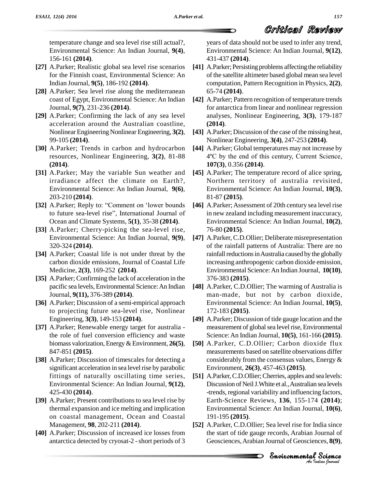temperature change and sea level rise still actual?, Environmental Science: An Indian Journal, **9(4)**, 156-161 **(2014)**.

- **[27]** A.Parker; Realistic global sea level rise scenarios for the Finnish coast, Environmental Science: An Indian Journal, **9(5)**, 186-192 **(2014)**.
- **[28]** A.Parker; Sea level rise along the mediterranean coast of Egypt, Environmental Science: An Indian Journal, **9(7)**, 231-236 **(2014)**.
- **[29]** A.Parker; Confirming the lack of any sea level acceleration around the Australian coastline, Nonlinear Engineering Nonlinear Engineering, 3(2), 99-105 **(2014)**.
- **[30]** A.Parker; Trends in carbon and hydrocarbon **(2014)**.
- **[31]** A.Parker; May the variable Sun weather and irradiance affect the climate on Earth?, Environmental Science: An Indian Journal, **9(6)**, 203-210 **(2014)**.
- [32] A.Parker; Reply to: "Comment on 'lower bounds to future sea-level rise", International Journal of Ocean and Climate Systems, **5(1)**, 35-38 **(2014)**.
- **[33]** A.Parker; Cherry-picking the sea-level rise, Environmental Science: An Indian Journal, **9(9)**, 320-324 **(2014)**.
- **[34]** A.Parker; Coastal life is not under threat by the carbon dioxide emissions, Journal of Coastal Life Medicine, **2(3)**, 169-252 **(2014)**.
- **[35]** A.Parker; Confirming the lack of acceleration in the pacific sea levels,Environmental Science:An Indian Journal, **9(11),** 376-389 **(2014)**.
- **[36]** A.Parker; Discussion of a semi-empirical approach to projecting future sea-level rise, Nonlinear Engineering, **3(3)**, 149-153 **(2014)**.
- **[37]** A.Parker; Renewable energy target for australia the role of fuel conversion efficiency and waste biomass valorization,Energy&Environment, **26(5)**, 847-851 **(2015)**.
- **[38]** A.Parker; Discussion of timescales for detecting a significant acceleration in sea level rise by parabolic fittings of naturally oscillating time series, Environmental Science: An Indian Journal, **9(12)**, 425-430 **(2014)**.
- [39] A.Parker; Present contributions to sea level rise by thermal expansion and ice melting and implication on coastal management, Ocean and Coastal Management, **98**, 202-211 **(2014)**.
- **[40]** A.Parker; Discussion of increased ice losses from antarctica detected by cryosat-2 - short periods of 3

years of data should not be used to infer any trend, Environmental Science: An Indian Journal, **9(12)**,

Critical Review

- 431-437 **(2014)**. [41] A.Parker; Persisting problems affecting the reliability of the satellite altimeter based global mean sea level computation, Pattern Recognition in Physics, **2(2)**, 65-74 **(2014)**.
- **[42]** A.Parker; Pattern recognition of temperature trends for antarctica from linear and nonlinear regression analyses, Nonlinear Engineering, **3(3)**, 179-187 **(2014)**.
- [43] A.Parker; Discussion of the case of the missing heat, Nonlinear Engineering, **3(4)**, 247-253 **(2014)**.
- resources, Nonlinear Engineering, **3(2)**, 81-88 **[44]** A.Parker; Global temperatures may not increase by Nonlinear Engineering, 3(4), 247-253 (2014).<br>A.Parker; Global temperatures may not increase by<br>4°C by the end of this century, Current Science, **107(3)**, 0.356 **(2014)**.
	- **[45]** A.Parker; The temperature record of alice spring, Northern territory of australia revisited, Environmental Science: An Indian Journal, **10(3)**, 81-87 **(2015)**.
	- [46] A.Parker; Assessment of 20th century sea level rise in new zealand including measurement inaccuracy, Environmental Science: An Indian Journal, **10(2)**, 76-80 **(2015)**.
	- **[47]** A.Parker, C.D.Ollier; Deliberate misrepresentation of the rainfall patterns of Australia: There are no rainfall reductions in Australia caused by the globally increasing anthropogenic carbon dioxide emission, Environmental Science:An Indian Journal, **10(10)**, 376-383 **(2015)**.
	- **[48]** A.Parker, C.D.Ollier; The warming of Australia is man-made, but not by carbon dioxide, Environmental Science: An Indian Journal, **10(5)**, 172-183 **(2015)**.
	- **[49]** A.Parker; Discussion of tide gauge location and the measurement of global sea level rise, Environmental Science:An Indian Journal, **10(5)**, 161-166 **(2015)**.
	- **[50]** A.Parker, C.D.Ollier; Carbon dioxide flux measurements based on satellite observations differ considerably from the consensus values, Energy & Environment, **26(3)**, 457-463 **(2015)**.
	- **And** *Anatomental* Science: An Indian Journal, **10(6)**, [51] A.Parker, C.D.Ollier; Cherries, apples and sea levels: Discussion of NeilJ.White et al.,Australian sea levels -trends, regional variability and influencing factors, Earth-Science Reviews, **136**, 155-174 **(2014)**; 191-195 **(2015)**.
	- *India* since<br>*Journal of*<br>*P Science*<br>*P Science*<br>*Padian bournal* al,  $10(6)$ ,<br>dia since<br>ournal of<br>ces,  $8(9)$ ,<br>Science **[52]** A.Parker, C.D.Ollier; Sea level rise for India since the start of tide gauge records, Arabian Journal of Geosciences,Arabian Journal of Geosciences, **8(9)**,